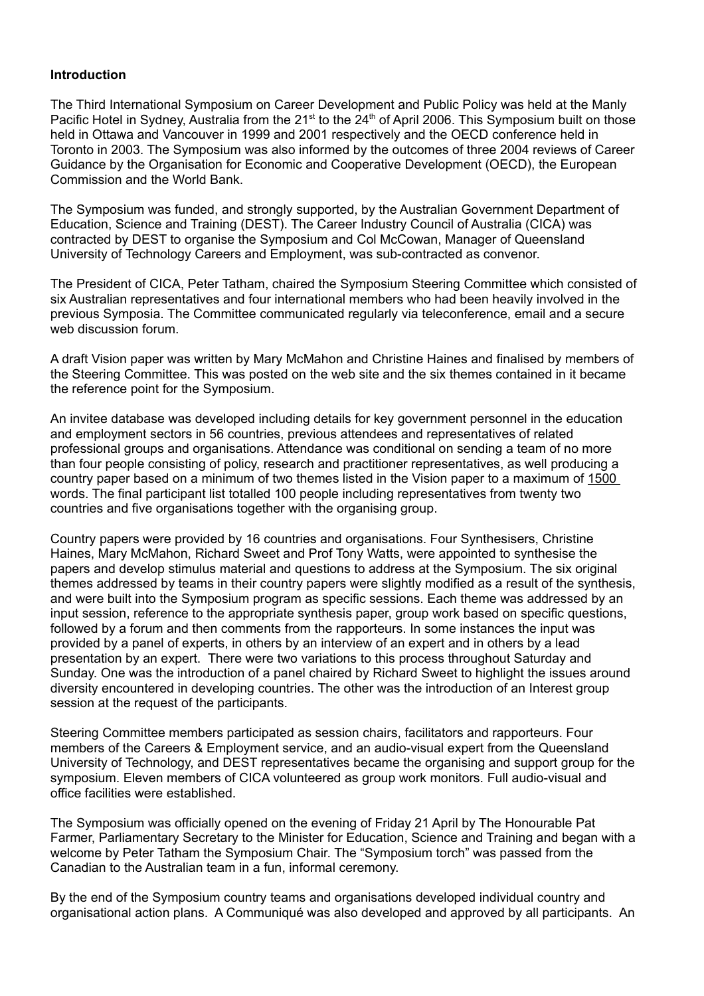## **Introduction**

The Third International Symposium on Career Development and Public Policy was held at the Manly Pacific Hotel in Sydney, Australia from the 21<sup>st</sup> to the 24<sup>th</sup> of April 2006. This Symposium built on those held in Ottawa and Vancouver in 1999 and 2001 respectively and the OECD conference held in Toronto in 2003. The Symposium was also informed by the outcomes of three 2004 reviews of Career Guidance by the Organisation for Economic and Cooperative Development (OECD), the European Commission and the World Bank.

The Symposium was funded, and strongly supported, by the Australian Government Department of Education, Science and Training (DEST). The Career Industry Council of Australia (CICA) was contracted by DEST to organise the Symposium and Col McCowan, Manager of Queensland University of Technology Careers and Employment, was sub-contracted as convenor.

The President of CICA, Peter Tatham, chaired the Symposium Steering Committee which consisted of six Australian representatives and four international members who had been heavily involved in the previous Symposia. The Committee communicated regularly via teleconference, email and a secure web discussion forum.

A draft Vision paper was written by Mary McMahon and Christine Haines and finalised by members of the Steering Committee. This was posted on the web site and the six themes contained in it became the reference point for the Symposium.

An invitee database was developed including details for key government personnel in the education and employment sectors in 56 countries, previous attendees and representatives of related professional groups and organisations. Attendance was conditional on sending a team of no more than four people consisting of policy, research and practitioner representatives, as well producing a country paper based on a minimum of two themes listed in the Vision paper to a maximum of 1500 words. The final participant list totalled 100 people including representatives from twenty two countries and five organisations together with the organising group.

Country papers were provided by 16 countries and organisations. Four Synthesisers, Christine Haines, Mary McMahon, Richard Sweet and Prof Tony Watts, were appointed to synthesise the papers and develop stimulus material and questions to address at the Symposium. The six original themes addressed by teams in their country papers were slightly modified as a result of the synthesis, and were built into the Symposium program as specific sessions. Each theme was addressed by an input session, reference to the appropriate synthesis paper, group work based on specific questions, followed by a forum and then comments from the rapporteurs. In some instances the input was provided by a panel of experts, in others by an interview of an expert and in others by a lead presentation by an expert. There were two variations to this process throughout Saturday and Sunday. One was the introduction of a panel chaired by Richard Sweet to highlight the issues around diversity encountered in developing countries. The other was the introduction of an Interest group session at the request of the participants.

Steering Committee members participated as session chairs, facilitators and rapporteurs. Four members of the Careers & Employment service, and an audio-visual expert from the Queensland University of Technology, and DEST representatives became the organising and support group for the symposium. Eleven members of CICA volunteered as group work monitors. Full audio-visual and office facilities were established.

The Symposium was officially opened on the evening of Friday 21 April by The Honourable Pat Farmer, Parliamentary Secretary to the Minister for Education, Science and Training and began with a welcome by Peter Tatham the Symposium Chair. The "Symposium torch" was passed from the Canadian to the Australian team in a fun, informal ceremony.

By the end of the Symposium country teams and organisations developed individual country and organisational action plans. A Communiqué was also developed and approved by all participants. An